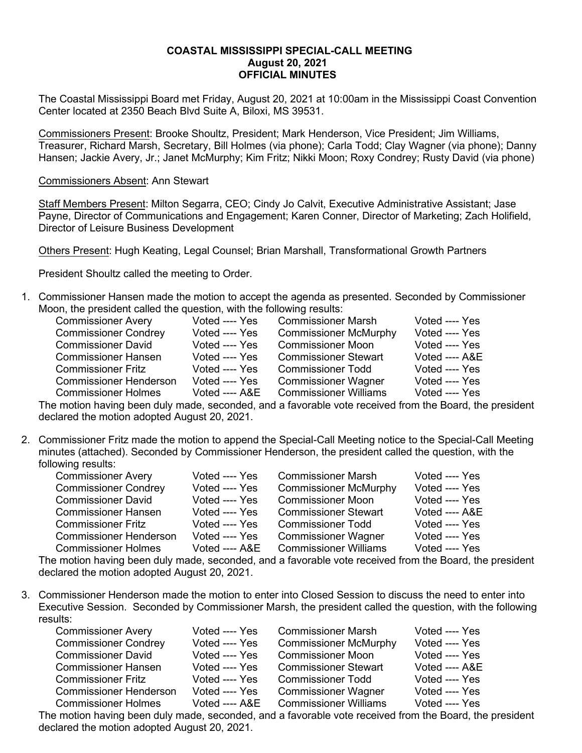## **COASTAL MISSISSIPPI SPECIAL-CALL MEETING August 20, 2021 OFFICIAL MINUTES**

The Coastal Mississippi Board met Friday, August 20, 2021 at 10:00am in the Mississippi Coast Convention Center located at 2350 Beach Blvd Suite A, Biloxi, MS 39531.

Commissioners Present: Brooke Shoultz, President; Mark Henderson, Vice President; Jim Williams, Treasurer, Richard Marsh, Secretary, Bill Holmes (via phone); Carla Todd; Clay Wagner (via phone); Danny Hansen; Jackie Avery, Jr.; Janet McMurphy; Kim Fritz; Nikki Moon; Roxy Condrey; Rusty David (via phone)

## Commissioners Absent: Ann Stewart

Staff Members Present: Milton Segarra, CEO; Cindy Jo Calvit, Executive Administrative Assistant; Jase Payne, Director of Communications and Engagement; Karen Conner, Director of Marketing; Zach Holifield, Director of Leisure Business Development

Others Present: Hugh Keating, Legal Counsel; Brian Marshall, Transformational Growth Partners

President Shoultz called the meeting to Order.

1. Commissioner Hansen made the motion to accept the agenda as presented. Seconded by Commissioner Moon, the president called the question, with the following results:

| <b>Commissioner Avery</b>     | Voted ---- Yes  | <b>Commissioner Marsh</b>    | Voted ---- Yes  |
|-------------------------------|-----------------|------------------------------|-----------------|
| <b>Commissioner Condrey</b>   | Voted ---- Yes  | <b>Commissioner McMurphy</b> | Voted ---- Yes  |
| <b>Commissioner David</b>     | Voted ---- Yes  | <b>Commissioner Moon</b>     | Voted ---- Yes  |
| <b>Commissioner Hansen</b>    | Voted ---- Yes  | <b>Commissioner Stewart</b>  | Voted $---$ A&E |
| <b>Commissioner Fritz</b>     | Voted ---- Yes  | <b>Commissioner Todd</b>     | Voted ---- Yes  |
| <b>Commissioner Henderson</b> | Voted ---- Yes  | <b>Commissioner Wagner</b>   | Voted ---- Yes  |
| <b>Commissioner Holmes</b>    | Voted $---$ A&E | <b>Commissioner Williams</b> | Voted ---- Yes  |

The motion having been duly made, seconded, and a favorable vote received from the Board, the president declared the motion adopted August 20, 2021.

2. Commissioner Fritz made the motion to append the Special-Call Meeting notice to the Special-Call Meeting minutes (attached). Seconded by Commissioner Henderson, the president called the question, with the following results:

| <b>Commissioner Avery</b>     | Voted ---- Yes | <b>Commissioner Marsh</b>    | Voted ---- Yes |
|-------------------------------|----------------|------------------------------|----------------|
| <b>Commissioner Condrey</b>   | Voted ---- Yes | <b>Commissioner McMurphy</b> | Voted ---- Yes |
| <b>Commissioner David</b>     | Voted ---- Yes | <b>Commissioner Moon</b>     | Voted ---- Yes |
| <b>Commissioner Hansen</b>    | Voted ---- Yes | <b>Commissioner Stewart</b>  | Voted ---- A&E |
| Commissioner Fritz            | Voted ---- Yes | <b>Commissioner Todd</b>     | Voted ---- Yes |
| <b>Commissioner Henderson</b> | Voted ---- Yes | <b>Commissioner Wagner</b>   | Voted ---- Yes |
| <b>Commissioner Holmes</b>    | Voted ---- A&E | <b>Commissioner Williams</b> | Voted ---- Yes |

The motion having been duly made, seconded, and a favorable vote received from the Board, the president declared the motion adopted August 20, 2021.

3. Commissioner Henderson made the motion to enter into Closed Session to discuss the need to enter into Executive Session. Seconded by Commissioner Marsh, the president called the question, with the following results:

| <b>Commissioner Avery</b>     | Voted ---- Yes | <b>Commissioner Marsh</b>    | Voted ---- Yes |
|-------------------------------|----------------|------------------------------|----------------|
| <b>Commissioner Condrey</b>   | Voted ---- Yes | <b>Commissioner McMurphy</b> | Voted ---- Yes |
| <b>Commissioner David</b>     | Voted ---- Yes | <b>Commissioner Moon</b>     | Voted ---- Yes |
| <b>Commissioner Hansen</b>    | Voted ---- Yes | <b>Commissioner Stewart</b>  | Voted ---- A&E |
| <b>Commissioner Fritz</b>     | Voted ---- Yes | <b>Commissioner Todd</b>     | Voted ---- Yes |
| <b>Commissioner Henderson</b> | Voted ---- Yes | <b>Commissioner Wagner</b>   | Voted ---- Yes |
| <b>Commissioner Holmes</b>    | Voted ---- A&E | <b>Commissioner Williams</b> | Voted ---- Yes |

The motion having been duly made, seconded, and a favorable vote received from the Board, the president declared the motion adopted August 20, 2021.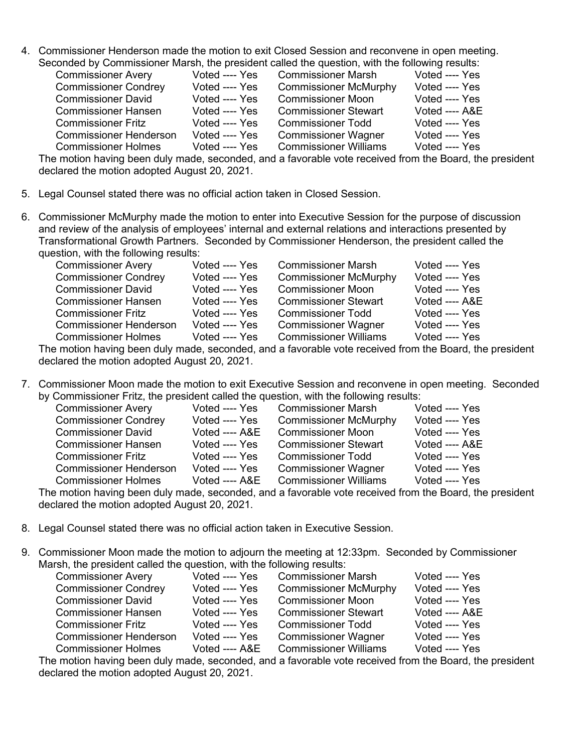4. Commissioner Henderson made the motion to exit Closed Session and reconvene in open meeting. Seconded by Commissioner Marsh, the president called the question, with the following results:

|                               |                | onaca wy commissioner march, are proclasm called are quecasity mar are reliefing receiter |                |
|-------------------------------|----------------|-------------------------------------------------------------------------------------------|----------------|
| <b>Commissioner Avery</b>     | Voted ---- Yes | <b>Commissioner Marsh</b>                                                                 | Voted ---- Yes |
| <b>Commissioner Condrey</b>   | Voted ---- Yes | <b>Commissioner McMurphy</b>                                                              | Voted ---- Yes |
| <b>Commissioner David</b>     | Voted ---- Yes | <b>Commissioner Moon</b>                                                                  | Voted ---- Yes |
| <b>Commissioner Hansen</b>    | Voted ---- Yes | <b>Commissioner Stewart</b>                                                               | Voted ---- A&E |
| <b>Commissioner Fritz</b>     | Voted ---- Yes | <b>Commissioner Todd</b>                                                                  | Voted ---- Yes |
| <b>Commissioner Henderson</b> | Voted ---- Yes | <b>Commissioner Wagner</b>                                                                | Voted ---- Yes |
| <b>Commissioner Holmes</b>    | Voted ---- Yes | <b>Commissioner Williams</b>                                                              | Voted ---- Yes |
|                               |                |                                                                                           |                |

The motion having been duly made, seconded, and a favorable vote received from the Board, the president declared the motion adopted August 20, 2021.

- 5. Legal Counsel stated there was no official action taken in Closed Session.
- 6. Commissioner McMurphy made the motion to enter into Executive Session for the purpose of discussion and review of the analysis of employees' internal and external relations and interactions presented by Transformational Growth Partners. Seconded by Commissioner Henderson, the president called the question, with the following results:

| <b>Commissioner Avery</b>     | Voted ---- Yes | <b>Commissioner Marsh</b>    | Voted ---- Yes  |
|-------------------------------|----------------|------------------------------|-----------------|
| <b>Commissioner Condrey</b>   | Voted ---- Yes | <b>Commissioner McMurphy</b> | Voted ---- Yes  |
| <b>Commissioner David</b>     | Voted ---- Yes | <b>Commissioner Moon</b>     | Voted ---- Yes  |
| <b>Commissioner Hansen</b>    | Voted ---- Yes | <b>Commissioner Stewart</b>  | Voted $---$ A&E |
| <b>Commissioner Fritz</b>     | Voted ---- Yes | <b>Commissioner Todd</b>     | Voted ---- Yes  |
| <b>Commissioner Henderson</b> | Voted ---- Yes | <b>Commissioner Wagner</b>   | Voted ---- Yes  |
| <b>Commissioner Holmes</b>    | Voted ---- Yes | <b>Commissioner Williams</b> | Voted ---- Yes  |

The motion having been duly made, seconded, and a favorable vote received from the Board, the president declared the motion adopted August 20, 2021.

7. Commissioner Moon made the motion to exit Executive Session and reconvene in open meeting. Seconded by Commissioner Fritz, the president called the question, with the following results:

| <b>Commissioner Avery</b>     | Voted ---- Yes  | <b>Commissioner Marsh</b>    | Voted ---- Yes |
|-------------------------------|-----------------|------------------------------|----------------|
| <b>Commissioner Condrey</b>   | Voted ---- Yes  | <b>Commissioner McMurphy</b> | Voted ---- Yes |
| <b>Commissioner David</b>     | Voted $---$ A&E | <b>Commissioner Moon</b>     | Voted ---- Yes |
| <b>Commissioner Hansen</b>    | Voted ---- Yes  | <b>Commissioner Stewart</b>  | Voted ---- A&E |
| <b>Commissioner Fritz</b>     | Voted ---- Yes  | <b>Commissioner Todd</b>     | Voted ---- Yes |
| <b>Commissioner Henderson</b> | Voted ---- Yes  | <b>Commissioner Wagner</b>   | Voted ---- Yes |
| <b>Commissioner Holmes</b>    | Voted ---- A&E  | <b>Commissioner Williams</b> | Voted ---- Yes |
|                               |                 |                              |                |

The motion having been duly made, seconded, and a favorable vote received from the Board, the president declared the motion adopted August 20, 2021.

- 8. Legal Counsel stated there was no official action taken in Executive Session.
- 9. Commissioner Moon made the motion to adjourn the meeting at 12:33pm. Seconded by Commissioner Marsh, the president called the question, with the following results:

| <b>Commissioner Avery</b>     | Voted ---- Yes | <b>Commissioner Marsh</b>    | Voted ---- Yes |
|-------------------------------|----------------|------------------------------|----------------|
| <b>Commissioner Condrey</b>   | Voted ---- Yes | <b>Commissioner McMurphy</b> | Voted ---- Yes |
| <b>Commissioner David</b>     | Voted ---- Yes | <b>Commissioner Moon</b>     | Voted ---- Yes |
| <b>Commissioner Hansen</b>    | Voted ---- Yes | <b>Commissioner Stewart</b>  | Voted ---- A&E |
| <b>Commissioner Fritz</b>     | Voted ---- Yes | <b>Commissioner Todd</b>     | Voted ---- Yes |
| <b>Commissioner Henderson</b> | Voted ---- Yes | <b>Commissioner Wagner</b>   | Voted ---- Yes |
| <b>Commissioner Holmes</b>    | Voted ---- A&E | <b>Commissioner Williams</b> | Voted ---- Yes |

The motion having been duly made, seconded, and a favorable vote received from the Board, the president declared the motion adopted August 20, 2021.